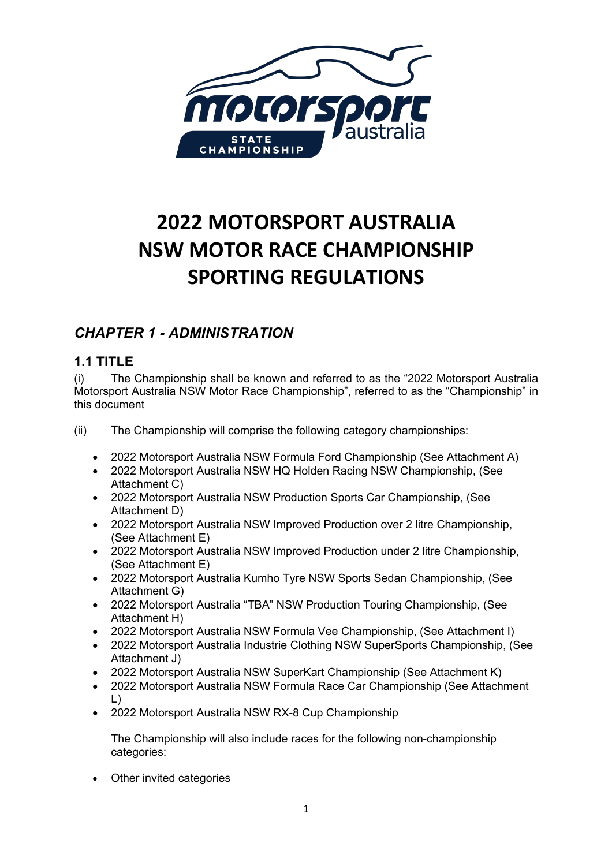

# **2022 MOTORSPORT AUSTRALIA NSW MOTOR RACE CHAMPIONSHIP SPORTING REGULATIONS**

# *CHAPTER 1 - ADMINISTRATION*

# **1.1 TITLE**

(i) The Championship shall be known and referred to as the "2022 Motorsport Australia Motorsport Australia NSW Motor Race Championship", referred to as the "Championship" in this document

(ii) The Championship will comprise the following category championships:

- 2022 Motorsport Australia NSW Formula Ford Championship (See Attachment A)
- 2022 Motorsport Australia NSW HQ Holden Racing NSW Championship, (See Attachment C)
- 2022 Motorsport Australia NSW Production Sports Car Championship, (See Attachment D)
- 2022 Motorsport Australia NSW Improved Production over 2 litre Championship, (See Attachment E)
- 2022 Motorsport Australia NSW Improved Production under 2 litre Championship, (See Attachment E)
- 2022 Motorsport Australia Kumho Tyre NSW Sports Sedan Championship, (See Attachment G)
- 2022 Motorsport Australia "TBA" NSW Production Touring Championship, (See Attachment H)
- 2022 Motorsport Australia NSW Formula Vee Championship, (See Attachment I)
- 2022 Motorsport Australia Industrie Clothing NSW SuperSports Championship, (See Attachment J)
- 2022 Motorsport Australia NSW SuperKart Championship (See Attachment K)
- 2022 Motorsport Australia NSW Formula Race Car Championship (See Attachment L)
- 2022 Motorsport Australia NSW RX-8 Cup Championship

The Championship will also include races for the following non-championship categories:

**Other invited categories**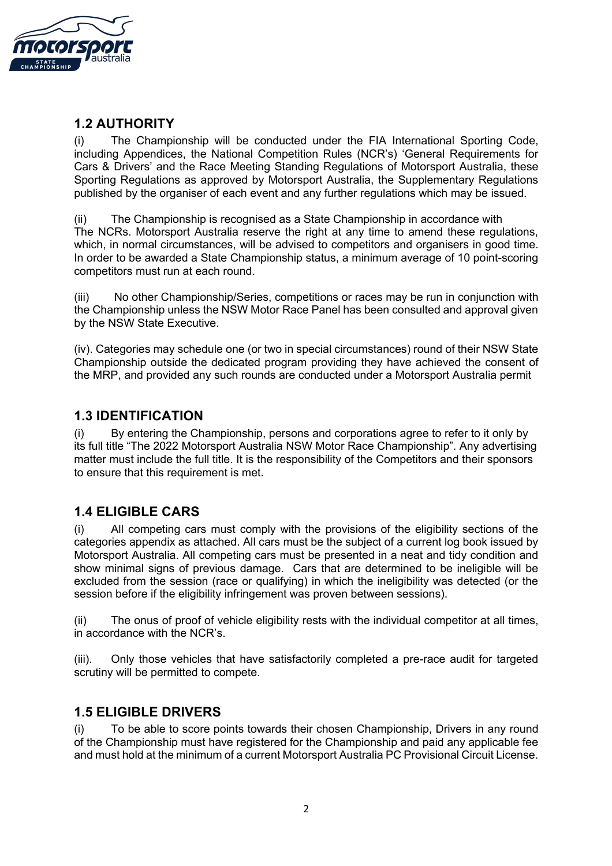

## **1.2 AUTHORITY**

(i) The Championship will be conducted under the FIA International Sporting Code, including Appendices, the National Competition Rules (NCR's) 'General Requirements for Cars & Drivers' and the Race Meeting Standing Regulations of Motorsport Australia, these Sporting Regulations as approved by Motorsport Australia, the Supplementary Regulations published by the organiser of each event and any further regulations which may be issued.

(ii) The Championship is recognised as a State Championship in accordance with The NCRs. Motorsport Australia reserve the right at any time to amend these regulations, which, in normal circumstances, will be advised to competitors and organisers in good time. In order to be awarded a State Championship status, a minimum average of 10 point-scoring competitors must run at each round.

(iii) No other Championship/Series, competitions or races may be run in conjunction with the Championship unless the NSW Motor Race Panel has been consulted and approval given by the NSW State Executive.

(iv). Categories may schedule one (or two in special circumstances) round of their NSW State Championship outside the dedicated program providing they have achieved the consent of the MRP, and provided any such rounds are conducted under a Motorsport Australia permit

#### **1.3 IDENTIFICATION**

(i) By entering the Championship, persons and corporations agree to refer to it only by its full title "The 2022 Motorsport Australia NSW Motor Race Championship". Any advertising matter must include the full title. It is the responsibility of the Competitors and their sponsors to ensure that this requirement is met.

## **1.4 ELIGIBLE CARS**

(i) All competing cars must comply with the provisions of the eligibility sections of the categories appendix as attached. All cars must be the subject of a current log book issued by Motorsport Australia. All competing cars must be presented in a neat and tidy condition and show minimal signs of previous damage. Cars that are determined to be ineligible will be excluded from the session (race or qualifying) in which the ineligibility was detected (or the session before if the eligibility infringement was proven between sessions).

(ii) The onus of proof of vehicle eligibility rests with the individual competitor at all times, in accordance with the NCR's.

(iii). Only those vehicles that have satisfactorily completed a pre-race audit for targeted scrutiny will be permitted to compete.

#### **1.5 ELIGIBLE DRIVERS**

To be able to score points towards their chosen Championship, Drivers in any round of the Championship must have registered for the Championship and paid any applicable fee and must hold at the minimum of a current Motorsport Australia PC Provisional Circuit License.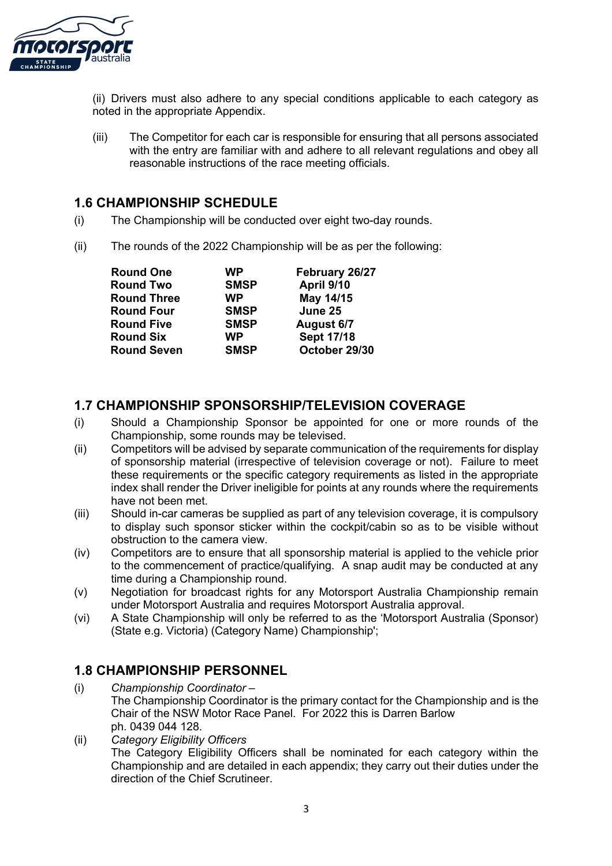

(ii) Drivers must also adhere to any special conditions applicable to each category as noted in the appropriate Appendix.

(iii) The Competitor for each car is responsible for ensuring that all persons associated with the entry are familiar with and adhere to all relevant regulations and obey all reasonable instructions of the race meeting officials.

#### **1.6 CHAMPIONSHIP SCHEDULE**

- (i) The Championship will be conducted over eight two-day rounds.
- (ii) The rounds of the 2022 Championship will be as per the following:

| <b>Round One</b>   | <b>WP</b>   | February 26/27    |  |  |
|--------------------|-------------|-------------------|--|--|
| <b>Round Two</b>   | <b>SMSP</b> | April 9/10        |  |  |
| <b>Round Three</b> | <b>WP</b>   | May 14/15         |  |  |
| <b>Round Four</b>  | <b>SMSP</b> | June 25           |  |  |
| <b>Round Five</b>  | <b>SMSP</b> | August 6/7        |  |  |
| <b>Round Six</b>   | <b>WP</b>   | <b>Sept 17/18</b> |  |  |
| <b>Round Seven</b> | <b>SMSP</b> | October 29/30     |  |  |

#### **1.7 CHAMPIONSHIP SPONSORSHIP/TELEVISION COVERAGE**

- (i) Should a Championship Sponsor be appointed for one or more rounds of the Championship, some rounds may be televised.
- (ii) Competitors will be advised by separate communication of the requirements for display of sponsorship material (irrespective of television coverage or not). Failure to meet these requirements or the specific category requirements as listed in the appropriate index shall render the Driver ineligible for points at any rounds where the requirements have not been met.
- (iii) Should in-car cameras be supplied as part of any television coverage, it is compulsory to display such sponsor sticker within the cockpit/cabin so as to be visible without obstruction to the camera view.
- (iv) Competitors are to ensure that all sponsorship material is applied to the vehicle prior to the commencement of practice/qualifying. A snap audit may be conducted at any time during a Championship round.
- (v) Negotiation for broadcast rights for any Motorsport Australia Championship remain under Motorsport Australia and requires Motorsport Australia approval.
- (vi) A State Championship will only be referred to as the 'Motorsport Australia (Sponsor) (State e.g. Victoria) (Category Name) Championship';

#### **1.8 CHAMPIONSHIP PERSONNEL**

- (i) *Championship Coordinator –* The Championship Coordinator is the primary contact for the Championship and is the Chair of the NSW Motor Race Panel. For 2022 this is Darren Barlow ph. 0439 044 128.
- (ii) *Category Eligibility Officers* The Category Eligibility Officers shall be nominated for each category within the Championship and are detailed in each appendix; they carry out their duties under the direction of the Chief Scrutineer.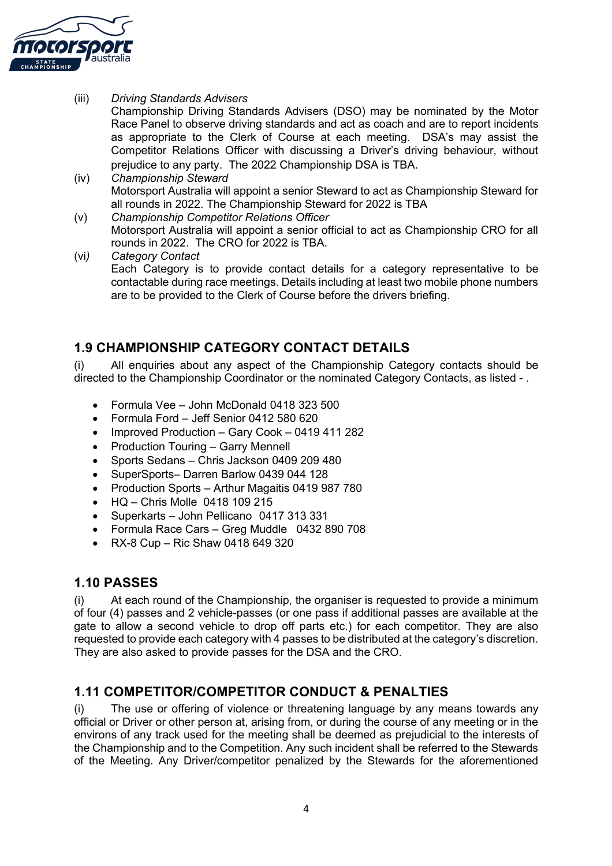

(iii) *Driving Standards Advisers*

Championship Driving Standards Advisers (DSO) may be nominated by the Motor Race Panel to observe driving standards and act as coach and are to report incidents as appropriate to the Clerk of Course at each meeting. DSA's may assist the Competitor Relations Officer with discussing a Driver's driving behaviour, without prejudice to any party. The 2022 Championship DSA is TBA.

- (iv) *Championship Steward*  Motorsport Australia will appoint a senior Steward to act as Championship Steward for all rounds in 2022. The Championship Steward for 2022 is TBA
- (v) *Championship Competitor Relations Officer*  Motorsport Australia will appoint a senior official to act as Championship CRO for all rounds in 2022. The CRO for 2022 is TBA.
- (vi*) Category Contact* Each Category is to provide contact details for a category representative to be contactable during race meetings. Details including at least two mobile phone numbers are to be provided to the Clerk of Course before the drivers briefing.

#### **1.9 CHAMPIONSHIP CATEGORY CONTACT DETAILS**

(i) All enquiries about any aspect of the Championship Category contacts should be directed to the Championship Coordinator or the nominated Category Contacts, as listed - .

- Formula Vee John McDonald 0418 323 500
- Formula Ford Jeff Senior 0412 580 620
- Improved Production Gary Cook 0419 411 282
- Production Touring Garry Mennell
- Sports Sedans Chris Jackson 0409 209 480
- SuperSports– Darren Barlow 0439 044 128
- Production Sports Arthur Magaitis 0419 987 780
- HQ Chris Molle 0418 109 215
- Superkarts John Pellicano 0417 313 331
- Formula Race Cars Greg Muddle 0432 890 708
- RX-8 Cup Ric Shaw 0418 649 320

#### **1.10 PASSES**

(i) At each round of the Championship, the organiser is requested to provide a minimum of four (4) passes and 2 vehicle-passes (or one pass if additional passes are available at the gate to allow a second vehicle to drop off parts etc.) for each competitor. They are also requested to provide each category with 4 passes to be distributed at the category's discretion. They are also asked to provide passes for the DSA and the CRO.

## **1.11 COMPETITOR/COMPETITOR CONDUCT & PENALTIES**

(i) The use or offering of violence or threatening language by any means towards any official or Driver or other person at, arising from, or during the course of any meeting or in the environs of any track used for the meeting shall be deemed as prejudicial to the interests of the Championship and to the Competition. Any such incident shall be referred to the Stewards of the Meeting. Any Driver/competitor penalized by the Stewards for the aforementioned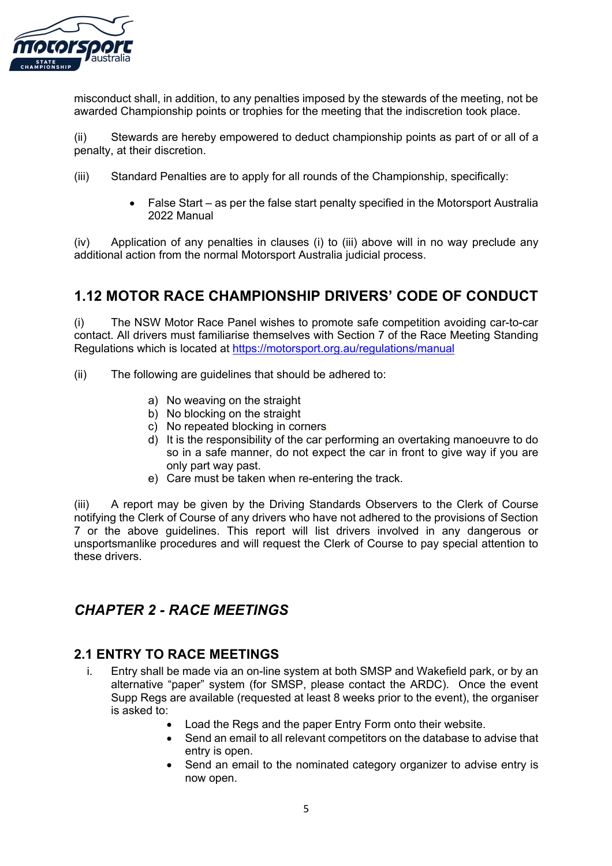

misconduct shall, in addition, to any penalties imposed by the stewards of the meeting, not be awarded Championship points or trophies for the meeting that the indiscretion took place.

(ii) Stewards are hereby empowered to deduct championship points as part of or all of a penalty, at their discretion.

- (iii) Standard Penalties are to apply for all rounds of the Championship, specifically:
	- False Start as per the false start penalty specified in the Motorsport Australia 2022 Manual

(iv) Application of any penalties in clauses (i) to (iii) above will in no way preclude any additional action from the normal Motorsport Australia judicial process.

# **1.12 MOTOR RACE CHAMPIONSHIP DRIVERS' CODE OF CONDUCT**

(i) The NSW Motor Race Panel wishes to promote safe competition avoiding car-to-car contact. All drivers must familiarise themselves with Section 7 of the Race Meeting Standing Regulations which is located at https://motorsport.org.au/regulations/manual

- (ii) The following are guidelines that should be adhered to:
	- a) No weaving on the straight
	- b) No blocking on the straight
	- c) No repeated blocking in corners.
	- d) It is the responsibility of the car performing an overtaking manoeuvre to do so in a safe manner, do not expect the car in front to give way if you are only part way past.
	- e) Care must be taken when re-entering the track.

(iii) A report may be given by the Driving Standards Observers to the Clerk of Course notifying the Clerk of Course of any drivers who have not adhered to the provisions of Section 7 or the above guidelines. This report will list drivers involved in any dangerous or unsportsmanlike procedures and will request the Clerk of Course to pay special attention to these drivers.

## *CHAPTER 2 - RACE MEETINGS*

#### **2.1 ENTRY TO RACE MEETINGS**

- i. Entry shall be made via an on-line system at both SMSP and Wakefield park, or by an alternative "paper" system (for SMSP, please contact the ARDC). Once the event Supp Regs are available (requested at least 8 weeks prior to the event), the organiser is asked to:
	- Load the Regs and the paper Entry Form onto their website.
	- Send an email to all relevant competitors on the database to advise that entry is open.
	- Send an email to the nominated category organizer to advise entry is now open.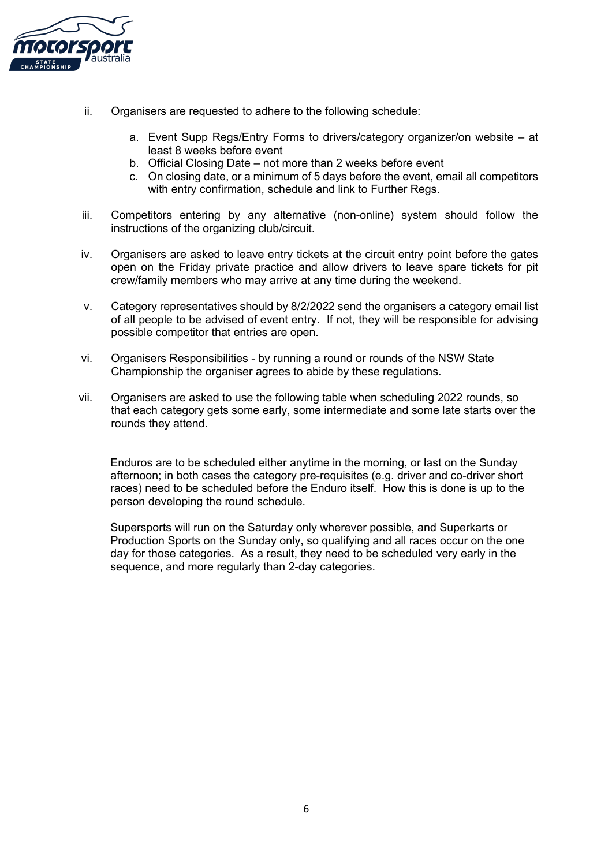

- ii. Organisers are requested to adhere to the following schedule:
	- a. Event Supp Regs/Entry Forms to drivers/category organizer/on website at least 8 weeks before event
	- b. Official Closing Date not more than 2 weeks before event
	- c. On closing date, or a minimum of 5 days before the event, email all competitors with entry confirmation, schedule and link to Further Regs.
- iii. Competitors entering by any alternative (non-online) system should follow the instructions of the organizing club/circuit.
- iv. Organisers are asked to leave entry tickets at the circuit entry point before the gates open on the Friday private practice and allow drivers to leave spare tickets for pit crew/family members who may arrive at any time during the weekend.
- v. Category representatives should by 8/2/2022 send the organisers a category email list of all people to be advised of event entry. If not, they will be responsible for advising possible competitor that entries are open.
- vi. Organisers Responsibilities by running a round or rounds of the NSW State Championship the organiser agrees to abide by these regulations.
- vii. Organisers are asked to use the following table when scheduling 2022 rounds, so that each category gets some early, some intermediate and some late starts over the rounds they attend.

Enduros are to be scheduled either anytime in the morning, or last on the Sunday afternoon; in both cases the category pre-requisites (e.g. driver and co-driver short races) need to be scheduled before the Enduro itself. How this is done is up to the person developing the round schedule.

Supersports will run on the Saturday only wherever possible, and Superkarts or Production Sports on the Sunday only, so qualifying and all races occur on the one day for those categories. As a result, they need to be scheduled very early in the sequence, and more regularly than 2-day categories.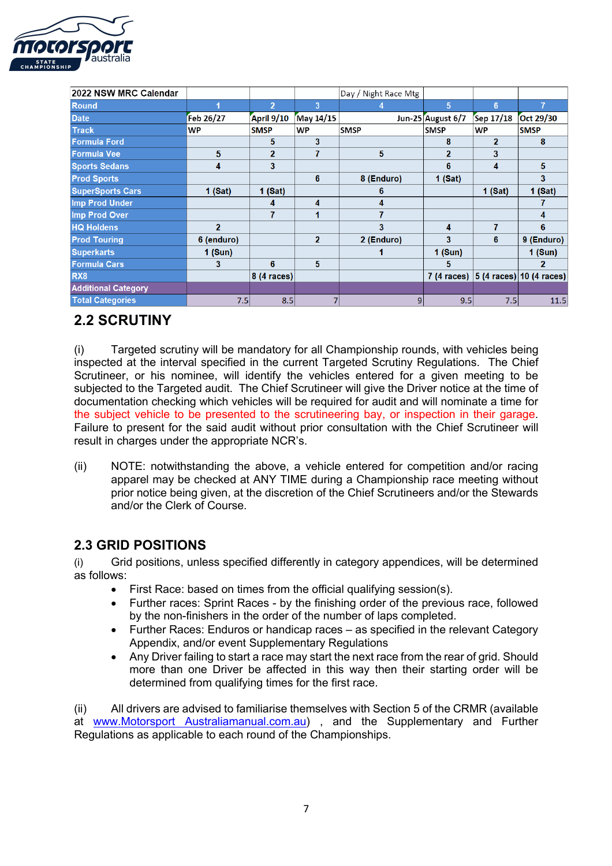

| 2022 NSW MRC Calendar      |                |                |                | Day / Night Race Mtg |                      |                |                                            |
|----------------------------|----------------|----------------|----------------|----------------------|----------------------|----------------|--------------------------------------------|
| <b>Round</b>               |                | $\overline{2}$ | 3              |                      | 5                    | 6 <sup>5</sup> | 7                                          |
| <b>Date</b>                | Feb 26/27      | April 9/10     | May 14/15      |                      | Jun-25 August 6/7    | Sep 17/18      | Oct 29/30                                  |
| <b>Track</b>               | <b>WP</b>      | <b>SMSP</b>    | <b>WP</b>      | <b>SMSP</b>          | <b>SMSP</b>          | <b>WP</b>      | <b>SMSP</b>                                |
| <b>Formula Ford</b>        |                | 5              | 3              |                      | 8                    | $\mathbf{2}$   | 8                                          |
| <b>Formula Vee</b>         | 5              | $\overline{2}$ |                | 5                    | $\overline{2}$       | 3              |                                            |
| <b>Sports Sedans</b>       | 4              | 3              |                |                      | 6                    | 4              | 5                                          |
| <b>Prod Sports</b>         |                |                | 6              | 8 (Enduro)           | $1$ (Sat)            |                | 3                                          |
| <b>SuperSports Cars</b>    | $1$ (Sat)      | 1 (Sat)        |                | 6                    |                      | $1$ (Sat)      | $1$ (Sat)                                  |
| Imp Prod Under             |                | 4              | 4              | 4                    |                      |                |                                            |
| Imp Prod Over              |                | 7              |                | 7                    |                      |                | 4                                          |
| <b>HQ Holdens</b>          | $\overline{2}$ |                |                | 3                    | 4                    | 7              | 6                                          |
| <b>Prod Touring</b>        | 6 (enduro)     |                | $\overline{2}$ | 2 (Enduro)           | 3                    | 6              | 9 (Enduro)                                 |
| <b>Superkarts</b>          | 1 (Sun)        |                |                |                      | 1 (Sun)              |                | $1$ (Sun)                                  |
| <b>Formula Cars</b>        | 3              | 6              | 5              |                      | 5                    |                | $\mathbf{p}$                               |
| RX <sub>8</sub>            |                | 8 (4 races)    |                |                      | $7(4 \text{ races})$ |                | $ 5(4 \text{ races}) 10(4 \text{ races}) $ |
| <b>Additional Category</b> |                |                |                |                      |                      |                |                                            |
| <b>Total Categories</b>    | 7.5            | 8.5            |                | 9                    | 9.5                  | 7.5            | 11.5                                       |

# **2.2 SCRUTINY**

(i) Targeted scrutiny will be mandatory for all Championship rounds, with vehicles being inspected at the interval specified in the current Targeted Scrutiny Regulations. The Chief Scrutineer, or his nominee, will identify the vehicles entered for a given meeting to be subjected to the Targeted audit. The Chief Scrutineer will give the Driver notice at the time of documentation checking which vehicles will be required for audit and will nominate a time for the subject vehicle to be presented to the scrutineering bay, or inspection in their garage. Failure to present for the said audit without prior consultation with the Chief Scrutineer will result in charges under the appropriate NCR's.

(ii) NOTE: notwithstanding the above, a vehicle entered for competition and/or racing apparel may be checked at ANY TIME during a Championship race meeting without prior notice being given, at the discretion of the Chief Scrutineers and/or the Stewards and/or the Clerk of Course.

## **2.3 GRID POSITIONS**

(i) Grid positions, unless specified differently in category appendices, will be determined as follows:

- First Race: based on times from the official qualifying session(s).
- Further races: Sprint Races by the finishing order of the previous race, followed by the non-finishers in the order of the number of laps completed.
- Further Races: Enduros or handicap races as specified in the relevant Category Appendix, and/or event Supplementary Regulations
- Any Driver failing to start a race may start the next race from the rear of grid. Should more than one Driver be affected in this way then their starting order will be determined from qualifying times for the first race.

(ii) All drivers are advised to familiarise themselves with Section 5 of the CRMR (available at www.Motorsport Australiamanual.com.au), and the Supplementary and Further Regulations as applicable to each round of the Championships.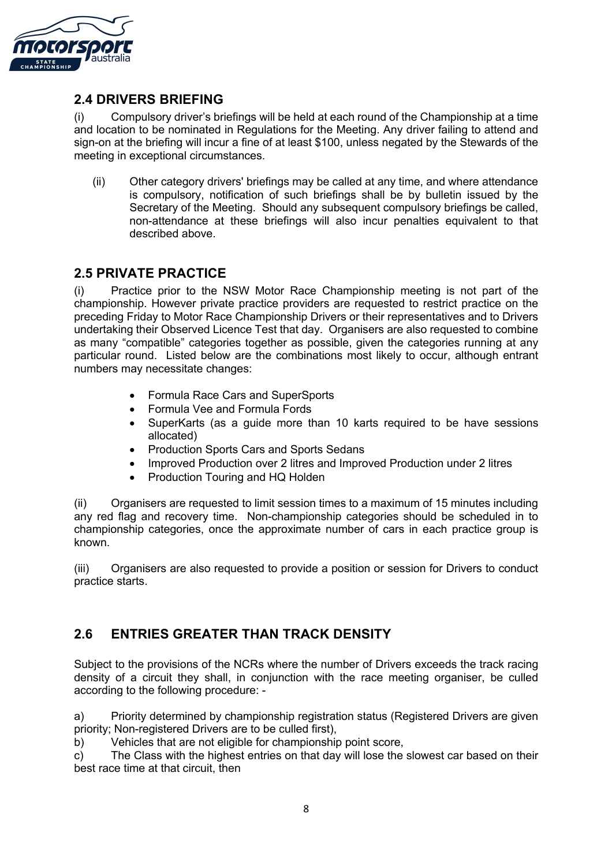

#### **2.4 DRIVERS BRIEFING**

(i) Compulsory driver's briefings will be held at each round of the Championship at a time and location to be nominated in Regulations for the Meeting. Any driver failing to attend and sign-on at the briefing will incur a fine of at least \$100, unless negated by the Stewards of the meeting in exceptional circumstances.

(ii) Other category drivers' briefings may be called at any time, and where attendance is compulsory, notification of such briefings shall be by bulletin issued by the Secretary of the Meeting. Should any subsequent compulsory briefings be called, non-attendance at these briefings will also incur penalties equivalent to that described above.

#### **2.5 PRIVATE PRACTICE**

(i) Practice prior to the NSW Motor Race Championship meeting is not part of the championship. However private practice providers are requested to restrict practice on the preceding Friday to Motor Race Championship Drivers or their representatives and to Drivers undertaking their Observed Licence Test that day. Organisers are also requested to combine as many "compatible" categories together as possible, given the categories running at any particular round. Listed below are the combinations most likely to occur, although entrant numbers may necessitate changes:

- Formula Race Cars and SuperSports
- Formula Vee and Formula Fords
- SuperKarts (as a guide more than 10 karts required to be have sessions allocated)
- Production Sports Cars and Sports Sedans
- Improved Production over 2 litres and Improved Production under 2 litres
- Production Touring and HQ Holden

(ii) Organisers are requested to limit session times to a maximum of 15 minutes including any red flag and recovery time. Non-championship categories should be scheduled in to championship categories, once the approximate number of cars in each practice group is known.

(iii) Organisers are also requested to provide a position or session for Drivers to conduct practice starts.

## **2.6 ENTRIES GREATER THAN TRACK DENSITY**

Subject to the provisions of the NCRs where the number of Drivers exceeds the track racing density of a circuit they shall, in conjunction with the race meeting organiser, be culled according to the following procedure: -

a) Priority determined by championship registration status (Registered Drivers are given priority; Non-registered Drivers are to be culled first),

b) Vehicles that are not eligible for championship point score,

c) The Class with the highest entries on that day will lose the slowest car based on their best race time at that circuit, then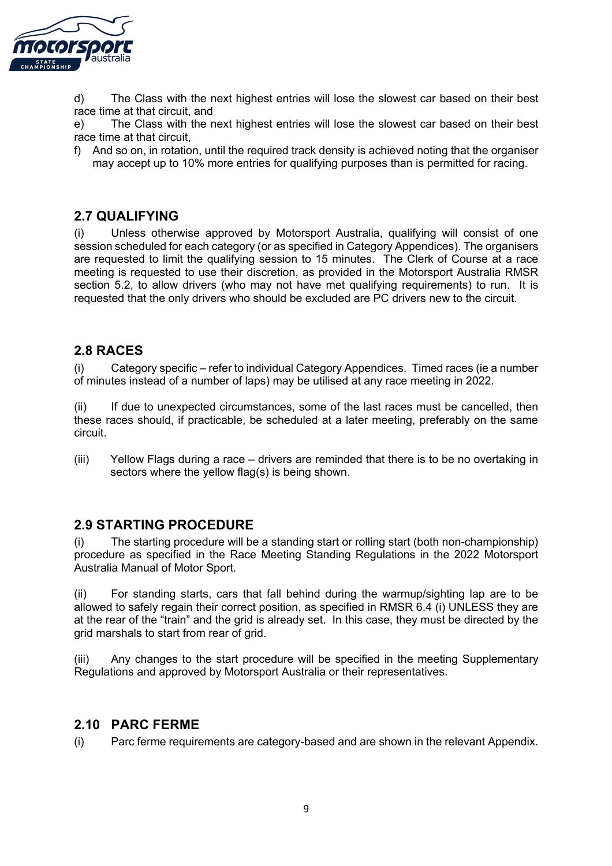

d) The Class with the next highest entries will lose the slowest car based on their best race time at that circuit, and

e) The Class with the next highest entries will lose the slowest car based on their best race time at that circuit,

f) And so on, in rotation, until the required track density is achieved noting that the organiser may accept up to 10% more entries for qualifying purposes than is permitted for racing.

#### **2.7 QUALIFYING**

(i) Unless otherwise approved by Motorsport Australia, qualifying will consist of one session scheduled for each category (or as specified in Category Appendices). The organisers are requested to limit the qualifying session to 15 minutes. The Clerk of Course at a race meeting is requested to use their discretion, as provided in the Motorsport Australia RMSR section 5.2, to allow drivers (who may not have met qualifying requirements) to run. It is requested that the only drivers who should be excluded are PC drivers new to the circuit.

#### **2.8 RACES**

(i) Category specific – refer to individual Category Appendices. Timed races (ie a number of minutes instead of a number of laps) may be utilised at any race meeting in 2022.

(ii) If due to unexpected circumstances, some of the last races must be cancelled, then these races should, if practicable, be scheduled at a later meeting, preferably on the same circuit.

(iii) Yellow Flags during a race – drivers are reminded that there is to be no overtaking in sectors where the yellow flag(s) is being shown.

#### **2.9 STARTING PROCEDURE**

(i) The starting procedure will be a standing start or rolling start (both non-championship) procedure as specified in the Race Meeting Standing Regulations in the 2022 Motorsport Australia Manual of Motor Sport.

(ii) For standing starts, cars that fall behind during the warmup/sighting lap are to be allowed to safely regain their correct position, as specified in RMSR 6.4 (i) UNLESS they are at the rear of the "train" and the grid is already set. In this case, they must be directed by the grid marshals to start from rear of grid.

(iii) Any changes to the start procedure will be specified in the meeting Supplementary Regulations and approved by Motorsport Australia or their representatives.

#### **2.10 PARC FERME**

(i) Parc ferme requirements are category-based and are shown in the relevant Appendix.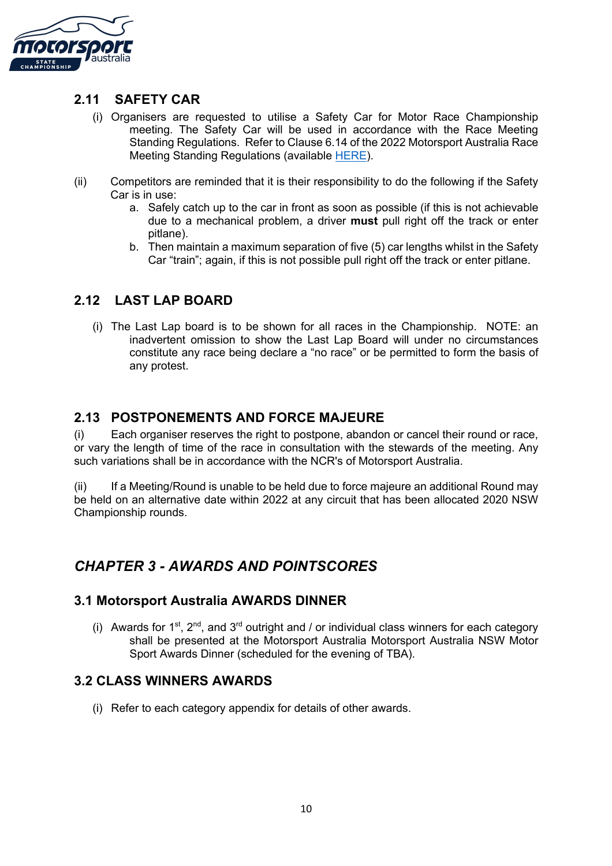

#### **2.11 SAFETY CAR**

- (i) Organisers are requested to utilise a Safety Car for Motor Race Championship meeting. The Safety Car will be used in accordance with the Race Meeting Standing Regulations. Refer to Clause 6.14 of the 2022 Motorsport Australia Race Meeting Standing Regulations (available HERE).
- (ii) Competitors are reminded that it is their responsibility to do the following if the Safety Car is in use:
	- a. Safely catch up to the car in front as soon as possible (if this is not achievable due to a mechanical problem, a driver **must** pull right off the track or enter pitlane).
	- b. Then maintain a maximum separation of five (5) car lengths whilst in the Safety Car "train"; again, if this is not possible pull right off the track or enter pitlane.

## **2.12 LAST LAP BOARD**

(i) The Last Lap board is to be shown for all races in the Championship. NOTE: an inadvertent omission to show the Last Lap Board will under no circumstances constitute any race being declare a "no race" or be permitted to form the basis of any protest.

#### **2.13 POSTPONEMENTS AND FORCE MAJEURE**

(i) Each organiser reserves the right to postpone, abandon or cancel their round or race, or vary the length of time of the race in consultation with the stewards of the meeting. Any such variations shall be in accordance with the NCR's of Motorsport Australia.

(ii) If a Meeting/Round is unable to be held due to force majeure an additional Round may be held on an alternative date within 2022 at any circuit that has been allocated 2020 NSW Championship rounds.

# *CHAPTER 3 - AWARDS AND POINTSCORES*

#### **3.1 Motorsport Australia AWARDS DINNER**

(i) Awards for  $1^{st}$ ,  $2^{nd}$ , and  $3^{rd}$  outright and / or individual class winners for each category shall be presented at the Motorsport Australia Motorsport Australia NSW Motor Sport Awards Dinner (scheduled for the evening of TBA).

#### **3.2 CLASS WINNERS AWARDS**

(i) Refer to each category appendix for details of other awards.